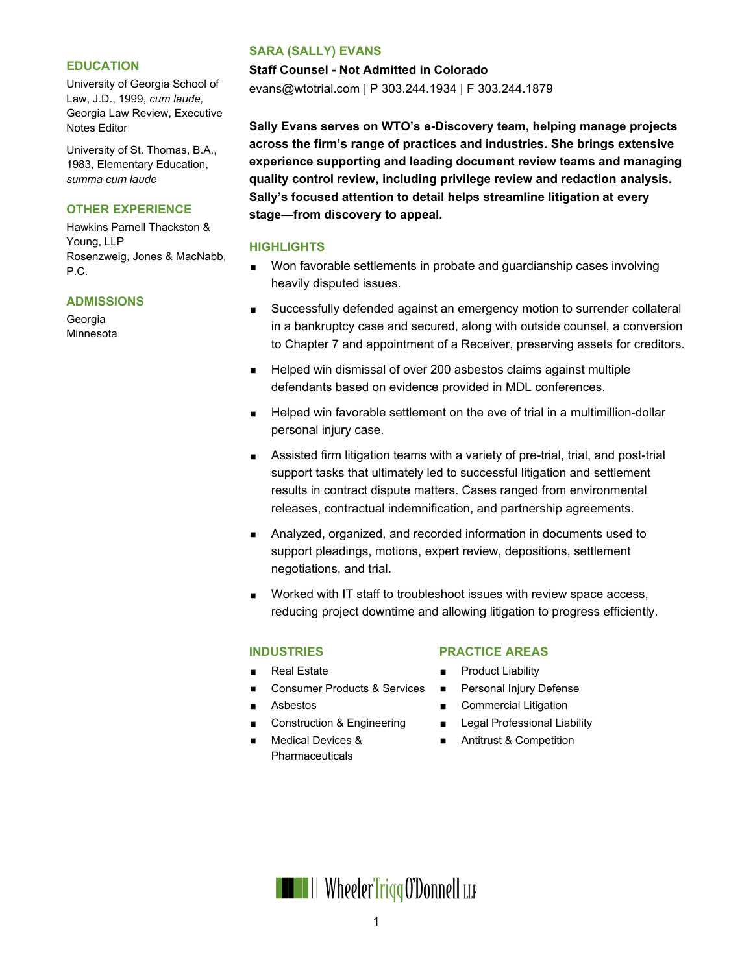#### **EDUCATION**

University of Georgia School of Law, J.D., 1999, *cum laude,* Georgia Law Review, Executive Notes Editor

University of St. Thomas, B.A., 1983, Elementary Education, *summa cum laude*

## **OTHER EXPERIENCE**

Hawkins Parnell Thackston & Young, LLP Rosenzweig, Jones & MacNabb, P.C.

#### **ADMISSIONS**

Georgia **Minnesota** 

#### **SARA (SALLY) EVANS**

**Staff Counsel - Not Admitted in Colorado**

evans@wtotrial.com | P 303.244.1934 | F 303.244.1879

**Sally Evans serves on WTO's e-Discovery team, helping manage projects across the firm's range of practices and industries. She brings extensive experience supporting and leading document review teams and managing quality control review, including privilege review and redaction analysis. Sally's focused attention to detail helps streamline litigation at every stage—from discovery to appeal.**

#### **HIGHLIGHTS**

- Won favorable settlements in probate and guardianship cases involving heavily disputed issues.
- Successfully defended against an emergency motion to surrender collateral in a bankruptcy case and secured, along with outside counsel, a conversion to Chapter 7 and appointment of a Receiver, preserving assets for creditors.
- Helped win dismissal of over 200 asbestos claims against multiple defendants based on evidence provided in MDL conferences.
- **Helped win favorable settlement on the eve of trial in a multimillion-dollar** personal injury case.
- Assisted firm litigation teams with a variety of pre-trial, trial, and post-trial support tasks that ultimately led to successful litigation and settlement results in contract dispute matters. Cases ranged from environmental releases, contractual indemnification, and partnership agreements.
- Analyzed, organized, and recorded information in documents used to support pleadings, motions, expert review, depositions, settlement negotiations, and trial.
- Worked with IT staff to troubleshoot issues with review space access, reducing project downtime and allowing litigation to progress efficiently.

## **INDUSTRIES**

- Real Estate
- Consumer Products & Services
- Asbestos
- Construction & Engineering
- Medical Devices & Pharmaceuticals

## **PRACTICE AREAS**

- Product Liability
- **Personal Injury Defense**
- **Commercial Litigation**
- **Legal Professional Liability**
- Antitrust & Competition

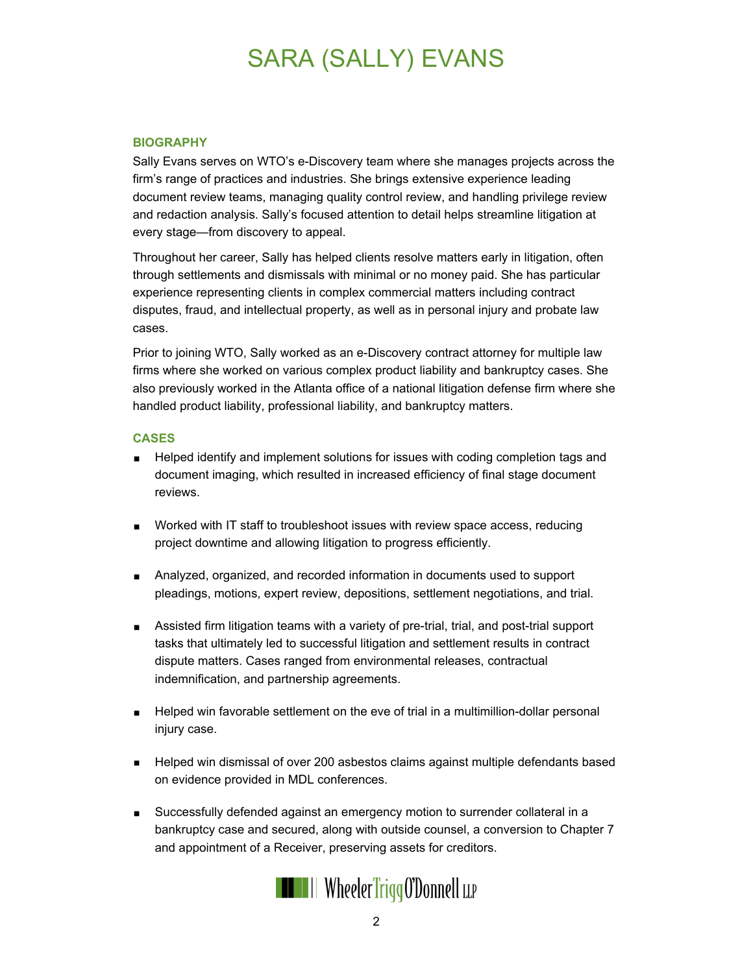# SARA (SALLY) EVANS

### **BIOGRAPHY**

Sally Evans serves on WTO's e-Discovery team where she manages projects across the firm's range of practices and industries. She brings extensive experience leading document review teams, managing quality control review, and handling privilege review and redaction analysis. Sally's focused attention to detail helps streamline litigation at every stage—from discovery to appeal.

Throughout her career, Sally has helped clients resolve matters early in litigation, often through settlements and dismissals with minimal or no money paid. She has particular experience representing clients in complex commercial matters including contract disputes, fraud, and intellectual property, as well as in personal injury and probate law cases.

Prior to joining WTO, Sally worked as an e-Discovery contract attorney for multiple law firms where she worked on various complex product liability and bankruptcy cases. She also previously worked in the Atlanta office of a national litigation defense firm where she handled product liability, professional liability, and bankruptcy matters.

#### **CASES**

- **Helped identify and implement solutions for issues with coding completion tags and** document imaging, which resulted in increased efficiency of final stage document reviews.
- **Norked with IT staff to troubleshoot issues with review space access, reducing** project downtime and allowing litigation to progress efficiently.
- Analyzed, organized, and recorded information in documents used to support pleadings, motions, expert review, depositions, settlement negotiations, and trial.
- Assisted firm litigation teams with a variety of pre-trial, trial, and post-trial support tasks that ultimately led to successful litigation and settlement results in contract dispute matters. Cases ranged from environmental releases, contractual indemnification, and partnership agreements.
- Helped win favorable settlement on the eve of trial in a multimillion-dollar personal injury case.
- Helped win dismissal of over 200 asbestos claims against multiple defendants based on evidence provided in MDL conferences.
- Successfully defended against an emergency motion to surrender collateral in a bankruptcy case and secured, along with outside counsel, a conversion to Chapter 7 and appointment of a Receiver, preserving assets for creditors.